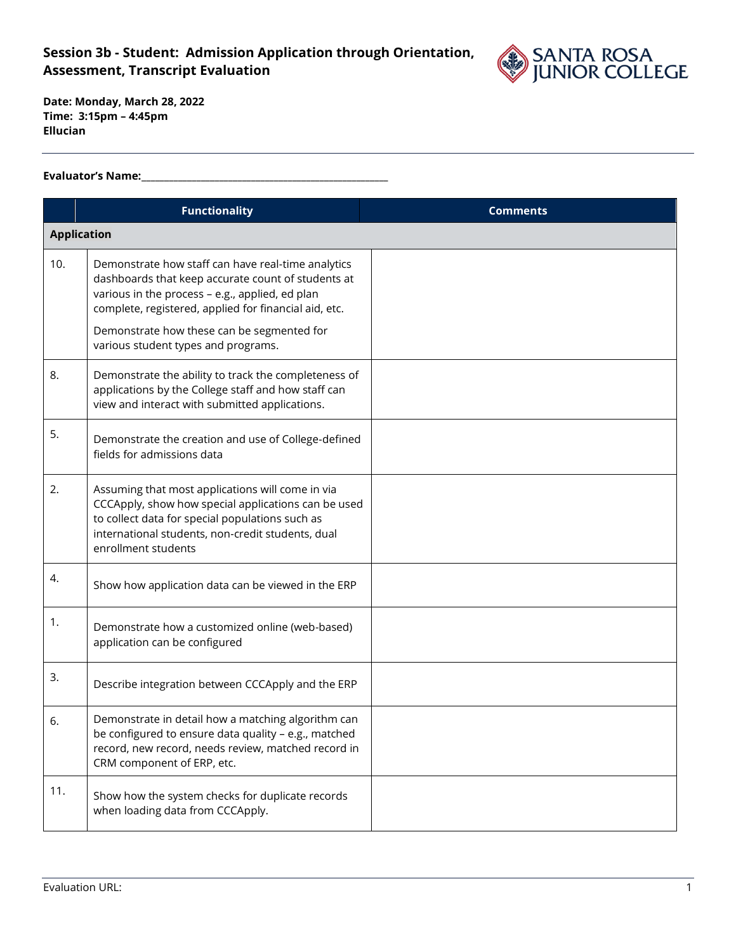

**Date: Monday, March 28, 2022 Time: 3:15pm – 4:45pm Ellucian**

### **Evaluator's Name:\_\_\_\_\_\_\_\_\_\_\_\_\_\_\_\_\_\_\_\_\_\_\_\_\_\_\_\_\_\_\_\_\_\_\_\_\_\_\_\_\_\_\_\_\_\_\_\_\_\_\_\_\_\_**

|     | <b>Functionality</b>                                                                                                                                                                                                                                                                                      | <b>Comments</b> |  |
|-----|-----------------------------------------------------------------------------------------------------------------------------------------------------------------------------------------------------------------------------------------------------------------------------------------------------------|-----------------|--|
|     | <b>Application</b>                                                                                                                                                                                                                                                                                        |                 |  |
| 10. | Demonstrate how staff can have real-time analytics<br>dashboards that keep accurate count of students at<br>various in the process - e.g., applied, ed plan<br>complete, registered, applied for financial aid, etc.<br>Demonstrate how these can be segmented for<br>various student types and programs. |                 |  |
| 8.  | Demonstrate the ability to track the completeness of<br>applications by the College staff and how staff can<br>view and interact with submitted applications.                                                                                                                                             |                 |  |
| 5.  | Demonstrate the creation and use of College-defined<br>fields for admissions data                                                                                                                                                                                                                         |                 |  |
| 2.  | Assuming that most applications will come in via<br>CCCApply, show how special applications can be used<br>to collect data for special populations such as<br>international students, non-credit students, dual<br>enrollment students                                                                    |                 |  |
| 4.  | Show how application data can be viewed in the ERP                                                                                                                                                                                                                                                        |                 |  |
| 1.  | Demonstrate how a customized online (web-based)<br>application can be configured                                                                                                                                                                                                                          |                 |  |
| 3.  | Describe integration between CCCApply and the ERP                                                                                                                                                                                                                                                         |                 |  |
| 6.  | Demonstrate in detail how a matching algorithm can<br>be configured to ensure data quality - e.g., matched<br>record, new record, needs review, matched record in<br>CRM component of ERP, etc.                                                                                                           |                 |  |
| 11. | Show how the system checks for duplicate records<br>when loading data from CCCApply.                                                                                                                                                                                                                      |                 |  |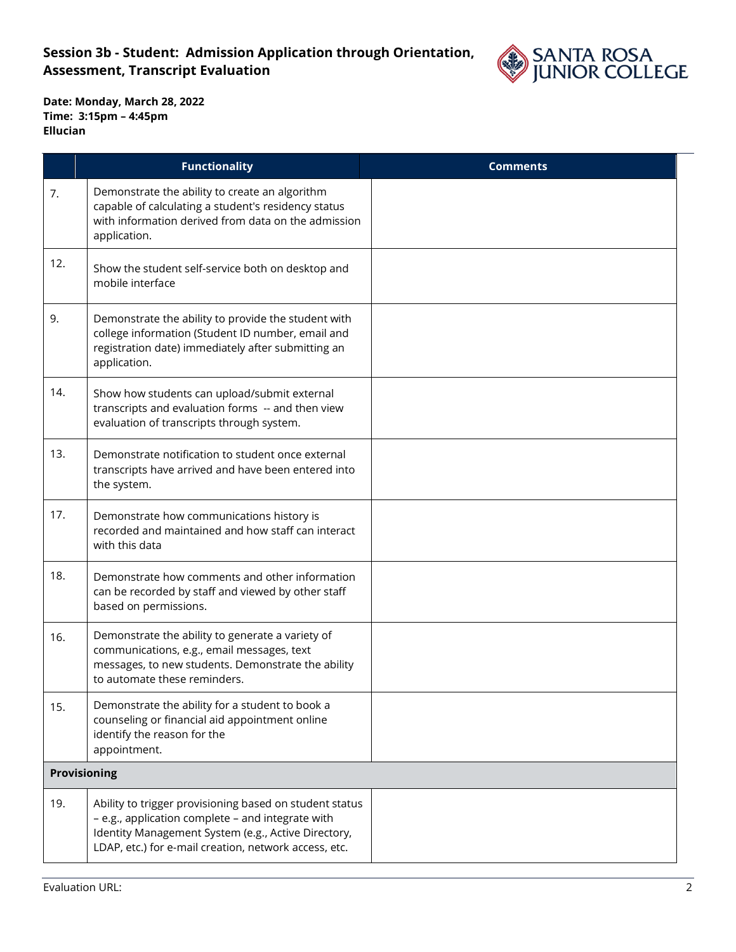

|     | <b>Functionality</b>                                                                                                                                                                                                         | <b>Comments</b> |
|-----|------------------------------------------------------------------------------------------------------------------------------------------------------------------------------------------------------------------------------|-----------------|
| 7.  | Demonstrate the ability to create an algorithm<br>capable of calculating a student's residency status<br>with information derived from data on the admission<br>application.                                                 |                 |
| 12. | Show the student self-service both on desktop and<br>mobile interface                                                                                                                                                        |                 |
| 9.  | Demonstrate the ability to provide the student with<br>college information (Student ID number, email and<br>registration date) immediately after submitting an<br>application.                                               |                 |
| 14. | Show how students can upload/submit external<br>transcripts and evaluation forms -- and then view<br>evaluation of transcripts through system.                                                                               |                 |
| 13. | Demonstrate notification to student once external<br>transcripts have arrived and have been entered into<br>the system.                                                                                                      |                 |
| 17. | Demonstrate how communications history is<br>recorded and maintained and how staff can interact<br>with this data                                                                                                            |                 |
| 18. | Demonstrate how comments and other information<br>can be recorded by staff and viewed by other staff<br>based on permissions.                                                                                                |                 |
| 16. | Demonstrate the ability to generate a variety of<br>communications, e.g., email messages, text<br>messages, to new students. Demonstrate the ability<br>to automate these reminders.                                         |                 |
| 15. | Demonstrate the ability for a student to book a<br>counseling or financial aid appointment online<br>identify the reason for the<br>appointment.                                                                             |                 |
|     | Provisioning                                                                                                                                                                                                                 |                 |
| 19. | Ability to trigger provisioning based on student status<br>- e.g., application complete - and integrate with<br>Identity Management System (e.g., Active Directory,<br>LDAP, etc.) for e-mail creation, network access, etc. |                 |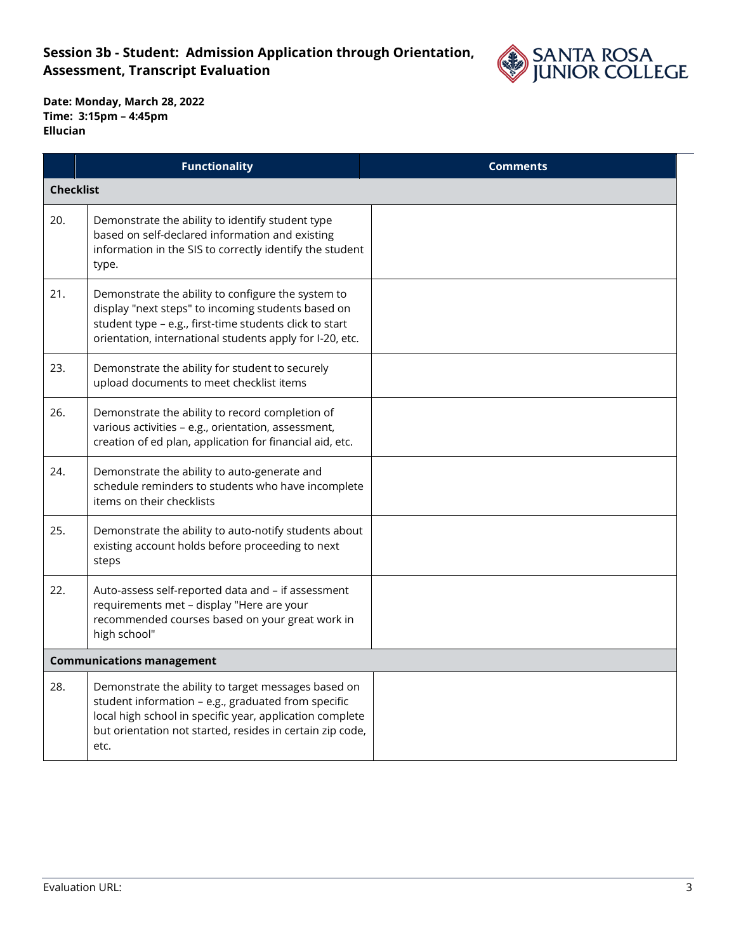

|                  | <b>Functionality</b>                                                                                                                                                                                                                        | <b>Comments</b> |
|------------------|---------------------------------------------------------------------------------------------------------------------------------------------------------------------------------------------------------------------------------------------|-----------------|
| <b>Checklist</b> |                                                                                                                                                                                                                                             |                 |
| 20.              | Demonstrate the ability to identify student type<br>based on self-declared information and existing<br>information in the SIS to correctly identify the student<br>type.                                                                    |                 |
| 21.              | Demonstrate the ability to configure the system to<br>display "next steps" to incoming students based on<br>student type - e.g., first-time students click to start<br>orientation, international students apply for I-20, etc.             |                 |
| 23.              | Demonstrate the ability for student to securely<br>upload documents to meet checklist items                                                                                                                                                 |                 |
| 26.              | Demonstrate the ability to record completion of<br>various activities - e.g., orientation, assessment,<br>creation of ed plan, application for financial aid, etc.                                                                          |                 |
| 24.              | Demonstrate the ability to auto-generate and<br>schedule reminders to students who have incomplete<br>items on their checklists                                                                                                             |                 |
| 25.              | Demonstrate the ability to auto-notify students about<br>existing account holds before proceeding to next<br>steps                                                                                                                          |                 |
| 22.              | Auto-assess self-reported data and - if assessment<br>requirements met - display "Here are your<br>recommended courses based on your great work in<br>high school"                                                                          |                 |
|                  | <b>Communications management</b>                                                                                                                                                                                                            |                 |
| 28.              | Demonstrate the ability to target messages based on<br>student information - e.g., graduated from specific<br>local high school in specific year, application complete<br>but orientation not started, resides in certain zip code,<br>etc. |                 |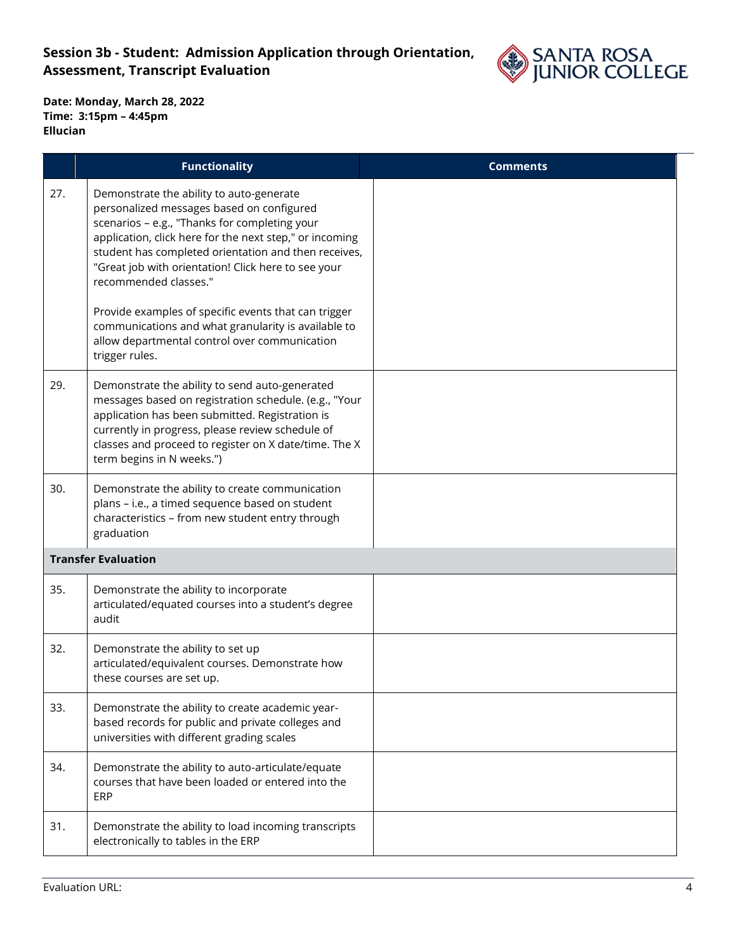

|     | <b>Functionality</b>                                                                                                                                                                                                                                                                                                                                                                                                                                                                                                        | <b>Comments</b> |
|-----|-----------------------------------------------------------------------------------------------------------------------------------------------------------------------------------------------------------------------------------------------------------------------------------------------------------------------------------------------------------------------------------------------------------------------------------------------------------------------------------------------------------------------------|-----------------|
| 27. | Demonstrate the ability to auto-generate<br>personalized messages based on configured<br>scenarios - e.g., "Thanks for completing your<br>application, click here for the next step," or incoming<br>student has completed orientation and then receives,<br>"Great job with orientation! Click here to see your<br>recommended classes."<br>Provide examples of specific events that can trigger<br>communications and what granularity is available to<br>allow departmental control over communication<br>trigger rules. |                 |
| 29. | Demonstrate the ability to send auto-generated<br>messages based on registration schedule. (e.g., "Your<br>application has been submitted. Registration is<br>currently in progress, please review schedule of<br>classes and proceed to register on X date/time. The X<br>term begins in N weeks.")                                                                                                                                                                                                                        |                 |
| 30. | Demonstrate the ability to create communication<br>plans - i.e., a timed sequence based on student<br>characteristics - from new student entry through<br>graduation                                                                                                                                                                                                                                                                                                                                                        |                 |
|     | <b>Transfer Evaluation</b>                                                                                                                                                                                                                                                                                                                                                                                                                                                                                                  |                 |
| 35. | Demonstrate the ability to incorporate<br>articulated/equated courses into a student's degree<br>audit                                                                                                                                                                                                                                                                                                                                                                                                                      |                 |
| 32. | Demonstrate the ability to set up<br>articulated/equivalent courses. Demonstrate how<br>these courses are set up.                                                                                                                                                                                                                                                                                                                                                                                                           |                 |
| 33. | Demonstrate the ability to create academic year-<br>based records for public and private colleges and<br>universities with different grading scales                                                                                                                                                                                                                                                                                                                                                                         |                 |
| 34. | Demonstrate the ability to auto-articulate/equate<br>courses that have been loaded or entered into the<br><b>ERP</b>                                                                                                                                                                                                                                                                                                                                                                                                        |                 |
| 31. | Demonstrate the ability to load incoming transcripts<br>electronically to tables in the ERP                                                                                                                                                                                                                                                                                                                                                                                                                                 |                 |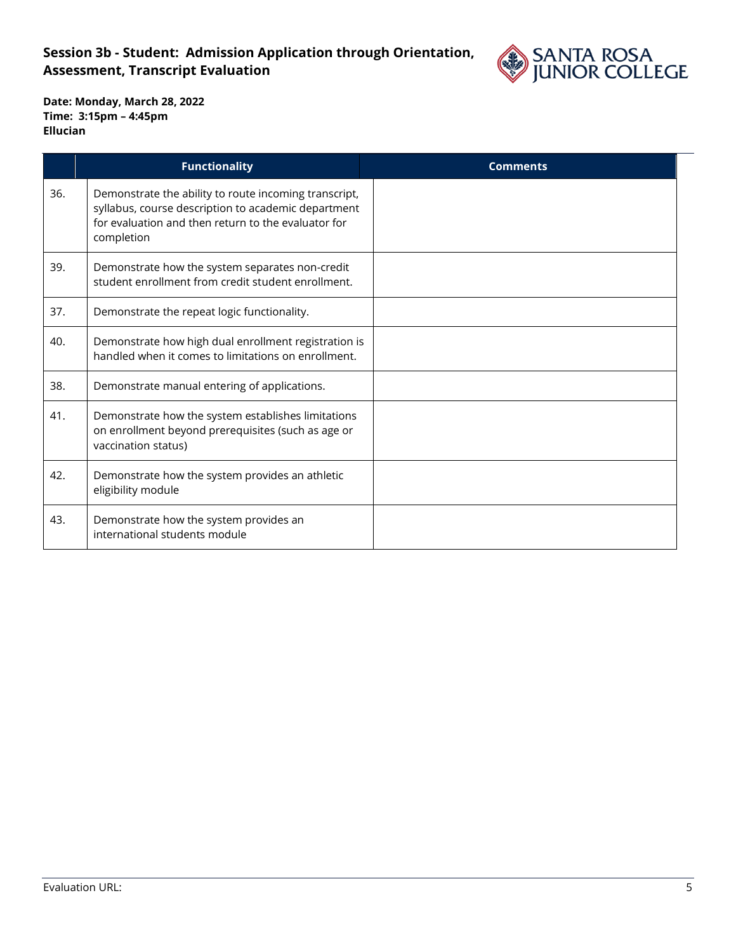

|     | <b>Functionality</b>                                                                                                                                                              | <b>Comments</b> |
|-----|-----------------------------------------------------------------------------------------------------------------------------------------------------------------------------------|-----------------|
| 36. | Demonstrate the ability to route incoming transcript,<br>syllabus, course description to academic department<br>for evaluation and then return to the evaluator for<br>completion |                 |
| 39. | Demonstrate how the system separates non-credit<br>student enrollment from credit student enrollment.                                                                             |                 |
| 37. | Demonstrate the repeat logic functionality.                                                                                                                                       |                 |
| 40. | Demonstrate how high dual enrollment registration is<br>handled when it comes to limitations on enrollment.                                                                       |                 |
| 38. | Demonstrate manual entering of applications.                                                                                                                                      |                 |
| 41. | Demonstrate how the system establishes limitations<br>on enrollment beyond prerequisites (such as age or<br>vaccination status)                                                   |                 |
| 42. | Demonstrate how the system provides an athletic<br>eligibility module                                                                                                             |                 |
| 43. | Demonstrate how the system provides an<br>international students module                                                                                                           |                 |